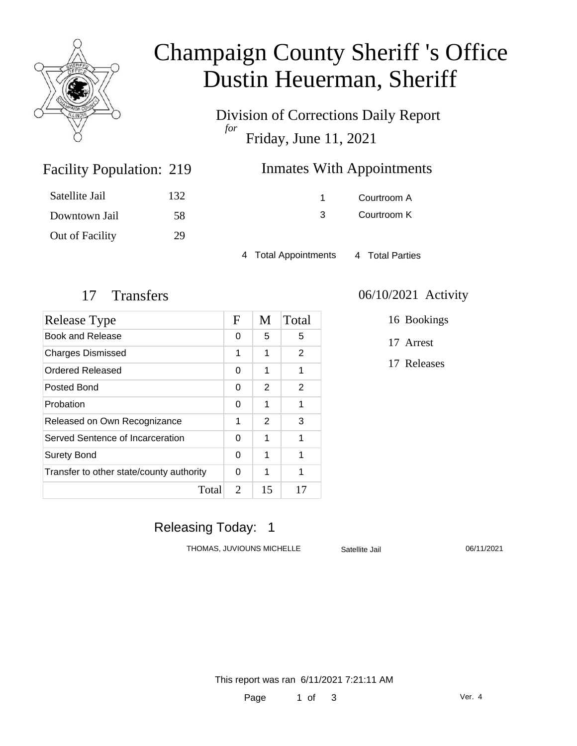

# Champaign County Sheriff 's Office Dustin Heuerman, Sheriff

Division of Corrections Daily Report *for* Friday, June 11, 2021

| <b>Inmates With Appointments</b><br>219 |  |
|-----------------------------------------|--|
|-----------------------------------------|--|

| Satellite Jail  | 132 |
|-----------------|-----|
| Downtown Jail   | 58  |
| Out of Facility | 29  |

Facility Population: 219

1 Courtroom A 3 Courtroom K

4 Total Appointments 4 Total Parties

| Release Type                             |   | M  | Total |
|------------------------------------------|---|----|-------|
| Book and Release                         | 0 | 5  | 5     |
| <b>Charges Dismissed</b>                 | 1 | 1  | 2     |
| Ordered Released                         | 0 | 1  | 1     |
| Posted Bond                              | 0 | 2  | 2     |
| Probation                                | 0 | 1  | 1     |
| Released on Own Recognizance             |   | 2  | 3     |
| Served Sentence of Incarceration         |   | 1  | 1     |
| <b>Surety Bond</b>                       |   | 1  | 1     |
| Transfer to other state/county authority |   | 1  | 1     |
| Total                                    | 2 | 15 | 17    |

#### 17 Transfers 06/10/2021 Activity

16 Bookings

17 Arrest

17 Releases

### Releasing Today: 1

THOMAS, JUVIOUNS MICHELLE Satellite Jail 06/11/2021

This report was ran 6/11/2021 7:21:11 AM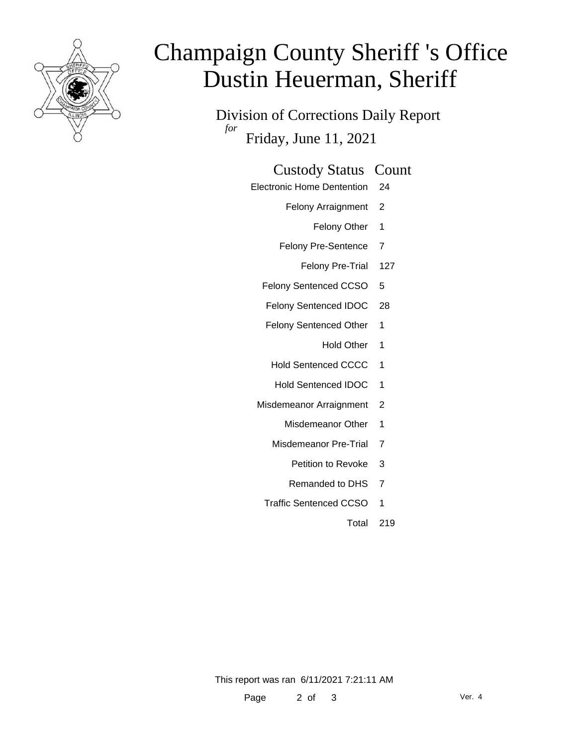

# Champaign County Sheriff 's Office Dustin Heuerman, Sheriff

Division of Corrections Daily Report *for* Friday, June 11, 2021

#### Custody Status Count

- Electronic Home Dentention 24
	- Felony Arraignment 2
		- Felony Other 1
	- Felony Pre-Sentence 7
		- Felony Pre-Trial 127
	- Felony Sentenced CCSO 5
	- Felony Sentenced IDOC 28
	- Felony Sentenced Other 1
		- Hold Other 1
	- Hold Sentenced CCCC 1
	- Hold Sentenced IDOC 1
	- Misdemeanor Arraignment 2
		- Misdemeanor Other 1
		- Misdemeanor Pre-Trial 7
			- Petition to Revoke 3
			- Remanded to DHS 7
		- Traffic Sentenced CCSO 1
			- Total 219